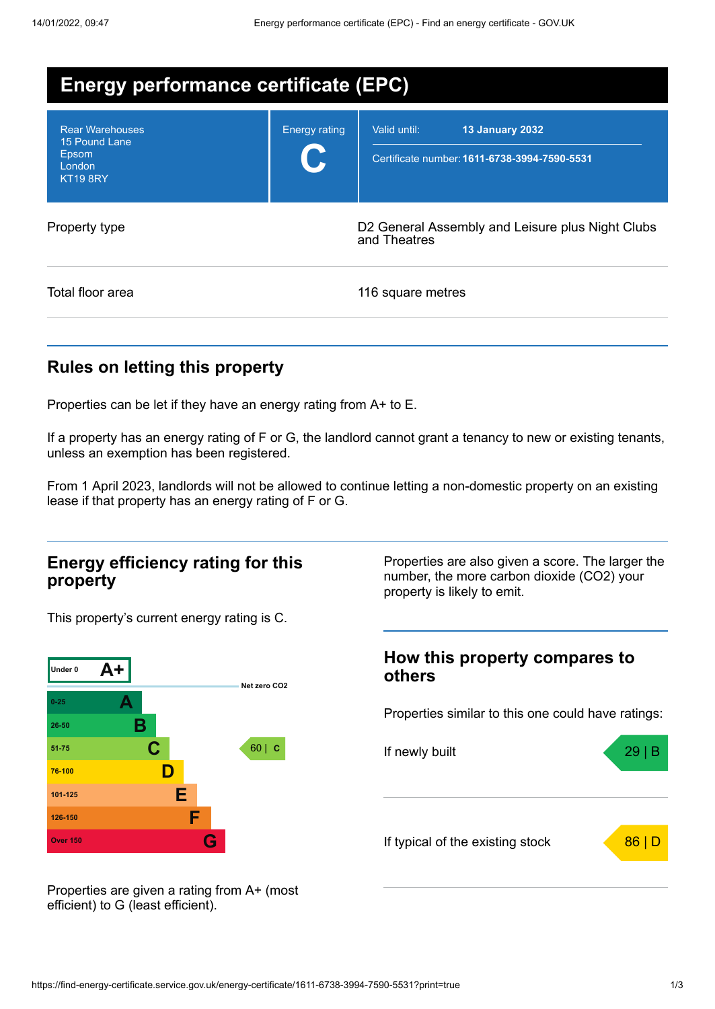| <b>Energy performance certificate (EPC)</b>                                   |                      |                                                                                        |  |  |
|-------------------------------------------------------------------------------|----------------------|----------------------------------------------------------------------------------------|--|--|
| <b>Rear Warehouses</b><br>15 Pound Lane<br>Epsom<br>London<br><b>KT19 8RY</b> | <b>Energy rating</b> | Valid until:<br><b>13 January 2032</b><br>Certificate number: 1611-6738-3994-7590-5531 |  |  |
| Property type                                                                 |                      | D2 General Assembly and Leisure plus Night Clubs<br>and Theatres                       |  |  |
| Total floor area                                                              |                      | 116 square metres                                                                      |  |  |

# **Rules on letting this property**

Properties can be let if they have an energy rating from A+ to E.

If a property has an energy rating of F or G, the landlord cannot grant a tenancy to new or existing tenants, unless an exemption has been registered.

From 1 April 2023, landlords will not be allowed to continue letting a non-domestic property on an existing lease if that property has an energy rating of F or G.

### **Energy efficiency rating for this property**

This property's current energy rating is C.



Properties are also given a score. The larger the number, the more carbon dioxide (CO2) your property is likely to emit.

### **How this property compares to others**

Properties similar to this one could have ratings:



Properties are given a rating from A+ (most efficient) to G (least efficient).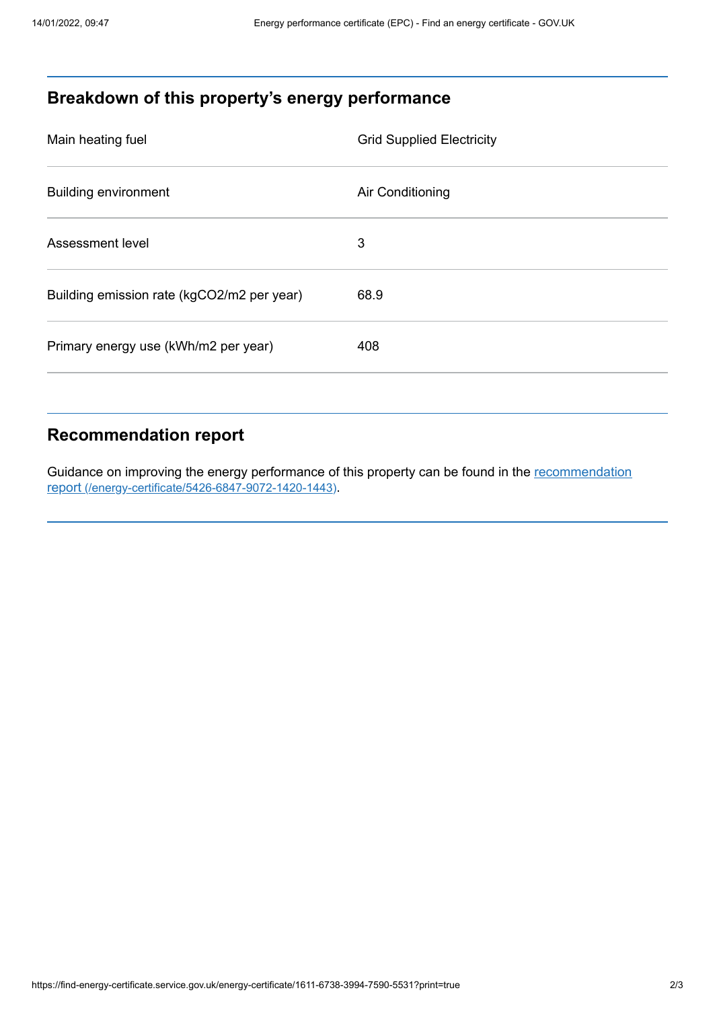# **Breakdown of this property's energy performance**

| Main heating fuel                          | <b>Grid Supplied Electricity</b> |
|--------------------------------------------|----------------------------------|
| <b>Building environment</b>                | Air Conditioning                 |
| Assessment level                           | 3                                |
| Building emission rate (kgCO2/m2 per year) | 68.9                             |
| Primary energy use (kWh/m2 per year)       | 408                              |

### **Recommendation report**

Guidance on improving the energy performance of this property can be found in the recommendation report [\(/energy-certificate/5426-6847-9072-1420-1443\)](https://find-energy-certificate.service.gov.uk/energy-certificate/5426-6847-9072-1420-1443).